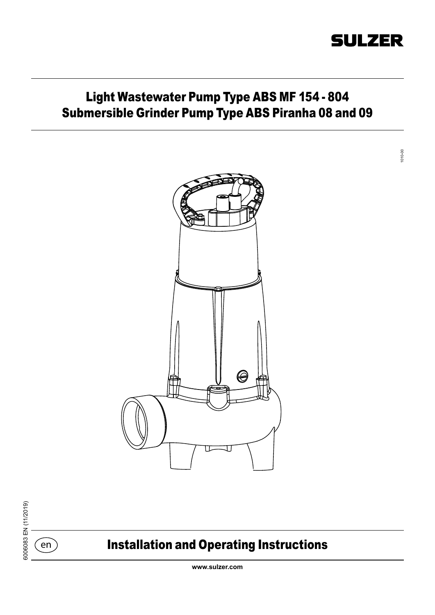# **SULZER**

# Light Wastewater Pump Type ABS MF 154 - 804 Submersible Grinder Pump Type ABS Piranha 08 and 09



6006083 EN (11/2019) 6006083 EN (11/2019)

 $\epsilon$ en

# Installation and Operating Instructions

**www.sulzer.com**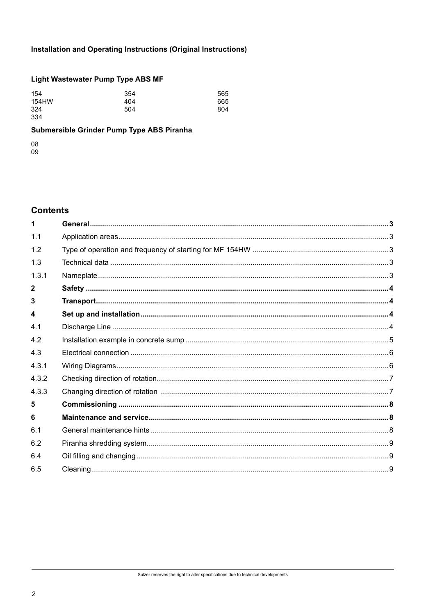# Installation and Operating Instructions (Original Instructions)

# **Light Wastewater Pump Type ABS MF**

| 154   | 354 | 565 |
|-------|-----|-----|
| 154HW | 404 | 665 |
| 324   | 504 | 804 |
| 334   |     |     |

# Submersible Grinder Pump Type ABS Piranha

08

09

## **Contents**

| 1 <sub>1</sub> |  |
|----------------|--|
| 1.2            |  |
| 1.3            |  |
| 1.3.1          |  |
| $\mathbf{2}$   |  |
| 3              |  |
| 4              |  |
| 4.1            |  |
| 4.2            |  |
| 4.3            |  |
| 4.3.1          |  |
| 4.3.2          |  |
| 4.3.3          |  |
| 5              |  |
| 6              |  |
| 61             |  |
| 6.2            |  |
| 6.4            |  |
| 6.5            |  |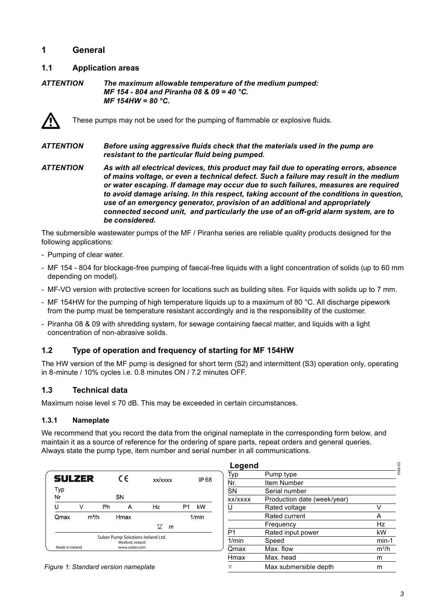## **1 General**

#### **1.1 Application areas**

*ATTENTION The maximum allowable temperature of the medium pumped: MF 154 - 804 and Piranha 08 & 09 = 40 °C. MF 154HW = 80 °C.*



These pumps may not be used for the pumping of flammable or explosive fluids.

*ATTENTION Before using aggressive fluids check that the materials used in the pump are resistant to the particular fluid being pumped.*

*ATTENTION As with all electrical devices, this product may fail due to operating errors, absence of mains voltage, or even a technical defect. Such a failure may result in the medium or water escaping. If damage may occur due to such failures, measures are required to avoid damage arising. In this respect, taking account of the conditions in question, use of an emergency generator, provision of an additional and appropriately connected second unit, and particularly the use of an off-grid alarm system, are to be considered.*

The submersible wastewater pumps of the MF / Piranha series are reliable quality products designed for the following applications:

- Pumping of clear water.
- MF 154 804 for blockage-free pumping of faecal-free liquids with a light concentration of solids (up to 60 mm depending on model).
- MF-VO version with protective screen for locations such as building sites. For liquids with solids up to 7 mm.
- MF 154HW for the pumping of high temperature liquids up to a maximum of 80 °C. All discharge pipework from the pump must be temperature resistant accordingly and is the responsibility of the customer.
- Piranha 08 & 09 with shredding system, for sewage containing faecal matter, and liquids with a light concentration of non-abrasive solids.

## **1.2 Type of operation and frequency of starting for MF 154HW**

The HW version of the MF pump is designed for short term (S2) and intermittent (S3) operation only, operating in 8-minute / 10% cycles i.e. 0.8 minutes ON / 7.2 minutes OFF.

## **1.3 Technical data**

Maximum noise level ≤ 70 dB. This may be exceeded in certain circumstances.

#### **1.3.1 Nameplate**

We recommend that you record the data from the original nameplate in the corresponding form below, and maintain it as a source of reference for the ordering of spare parts, repeat orders and general queries. Always state the pump type, item number and serial number in all communications.

| <b>SULZER</b>   |   |                   | C€                                                                       | xx/xxxx |    | IP 68 |
|-----------------|---|-------------------|--------------------------------------------------------------------------|---------|----|-------|
| Typ<br>Nr       |   |                   | SN                                                                       |         |    |       |
| ' '             | V | Ph                | Α                                                                        | Hz      | P1 | kW    |
| Qmax            |   | m <sup>3</sup> /h | Hmax                                                                     |         |    | 1/min |
|                 |   |                   |                                                                          | V<br>m  |    |       |
| Made in Ireland |   |                   | Sulzer Pump Solutions Ireland Ltd.<br>Wexford, Ireland<br>www.sulzer.com |         |    |       |

| Legend  |                             |         |
|---------|-----------------------------|---------|
| Typ     | Pump type                   |         |
| Nr.     | Item Number                 |         |
| SN      | Serial number               |         |
| xx/xxxx | Production date (week/year) |         |
| ı۱      | Rated voltage               | v       |
|         | Rated current               | А       |
|         | Frequency                   | Hz      |
| P1      | Rated input power           | kW      |
| 1/min   | Speed                       | $min-1$ |
| Qmax    | Max. flow                   | $m^3/h$ |
| Hmax    | Max, head                   | m       |
| ▽       | Max submersible depth       | m       |

*Figure 1: Standard version nameplate*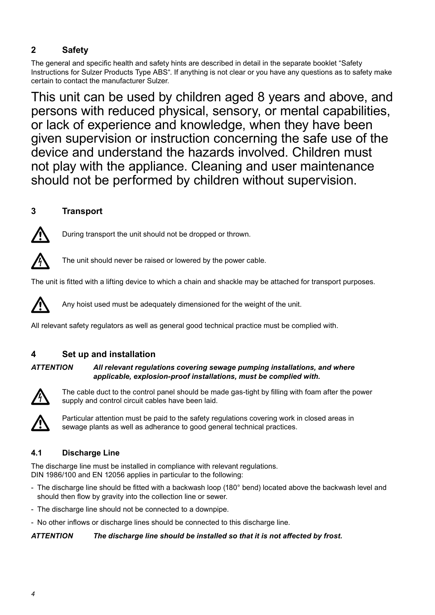# **2 Safety**

The general and specific health and safety hints are described in detail in the separate booklet "Safety Instructions for Sulzer Products Type ABS". If anything is not clear or you have any questions as to safety make certain to contact the manufacturer Sulzer.

This unit can be used by children aged 8 years and above, and persons with reduced physical, sensory, or mental capabilities, or lack of experience and knowledge, when they have been given supervision or instruction concerning the safe use of the device and understand the hazards involved. Children must not play with the appliance. Cleaning and user maintenance should not be performed by children without supervision.

# **3 Transport**



During transport the unit should not be dropped or thrown.



The unit should never be raised or lowered by the power cable.

The unit is fitted with a lifting device to which a chain and shackle may be attached for transport purposes.



Any hoist used must be adequately dimensioned for the weight of the unit.

All relevant safety regulators as well as general good technical practice must be complied with.

# **4 Set up and installation**

#### *ATTENTION All relevant regulations covering sewage pumping installations, and where applicable, explosion-proof installations, must be complied with.*



The cable duct to the control panel should be made gas-tight by filling with foam after the power supply and control circuit cables have been laid.



Particular attention must be paid to the safety regulations covering work in closed areas in sewage plants as well as adherance to good general technical practices.

# **4.1 Discharge Line**

The discharge line must be installed in compliance with relevant regulations. DIN 1986/100 and EN 12056 applies in particular to the following:

- The discharge line should be fitted with a backwash loop (180° bend) located above the backwash level and should then flow by gravity into the collection line or sewer.
- The discharge line should not be connected to a downpipe.
- No other inflows or discharge lines should be connected to this discharge line.

#### *ATTENTION The discharge line should be installed so that it is not affected by frost.*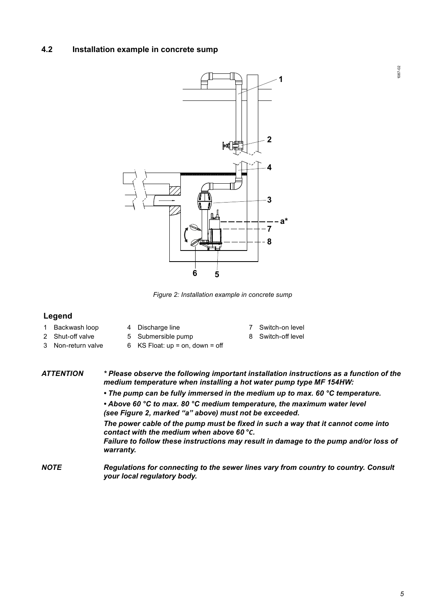#### **4.2 Installation example in concrete sump**



*Figure 2: Installation example in concrete sump*

#### **Legend**

- 
- 
- 1 Backwash loop 4 Discharge line 7 Switch-on level
- 2 Shut-off valve 5 Submersible pump 8 Switch-off level
- 
- 
- 3 Non-return valve 6 KS Float: up = on, down = off
- *ATTENTION \* Please observe the following important installation instructions as a function of the medium temperature when installing a hot water pump type MF 154HW:*
	- *• The pump can be fully immersed in the medium up to max. 60 °C temperature.*
	- *Above 60 °C to max. 80 °C medium temperature, the maximum water level (see Figure 2, marked "a" above) must not be exceeded.*
	- *The power cable of the pump must be fixed in such a way that it cannot come into contact with the medium when above 60* **°***C.*
	- *Failure to follow these instructions may result in damage to the pump and/or loss of warranty.*
- *NOTE Regulations for connecting to the sewer lines vary from country to country. Consult your local regulatory body.*

1087-02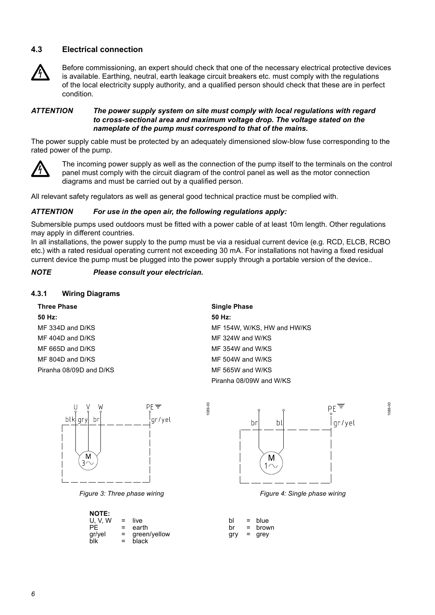#### **4.3 Electrical connection**



Before commissioning, an expert should check that one of the necessary electrical protective devices is available. Earthing, neutral, earth leakage circuit breakers etc. must comply with the regulations of the local electricity supply authority, and a qualified person should check that these are in perfect condition.

#### *ATTENTION The power supply system on site must comply with local regulations with regard to cross-sectional area and maximum voltage drop. The voltage stated on the nameplate of the pump must correspond to that of the mains.*

The power supply cable must be protected by an adequately dimensioned slow-blow fuse corresponding to the rated power of the pump.



The incoming power supply as well as the connection of the pump itself to the terminals on the control panel must comply with the circuit diagram of the control panel as well as the motor connection diagrams and must be carried out by a qualified person.

All relevant safety regulators as well as general good technical practice must be complied with.

#### *ATTENTION For use in the open air, the following regulations apply:*

Submersible pumps used outdoors must be fitted with a power cable of at least 10m length. Other regulations may apply in different countries.

In all installations, the power supply to the pump must be via a residual current device (e.g. RCD, ELCB, RCBO etc.) with a rated residual operating current not exceeding 30 mA. For installations not having a fixed residual current device the pump must be plugged into the power supply through a portable version of the device..

1089-00

#### *NOTE Please consult your electrician.*

#### **4.3.1 Wiring Diagrams**

| <b>Three Phase</b>      | Single |
|-------------------------|--------|
| 50 Hz:                  | 50 Hz: |
| $MF$ 334D and D/KS      | MF 15  |
| $MF 404D$ and $D/KS$    | MF 32  |
| MF 665D and D/KS        | MF 35  |
| MF 804D and D/KS        | MF 50  |
| Piranha 08/09D and D/KS | MF 56  |

**Three Phase Single Phase** MF 154W, W/KS, HW and HW/KS MF 324W and W/KS  $MF$  354W and W/KS  $MF$  504W and W/KS MF 565W and W/KS Piranha 08/09W and W/KS



*Figure 3: Three phase wiring Figure 4: Single phase wiring*

| <b>NOTE:</b><br>U. V. W<br>PF.<br>gr/yel | = live<br>$=$ earth<br>$=$ green/yellow | bl<br>hr<br>arv | $=$ blue<br>= brown<br>= grey |
|------------------------------------------|-----------------------------------------|-----------------|-------------------------------|
| blk                                      | $=$ black                               |                 |                               |



1088-00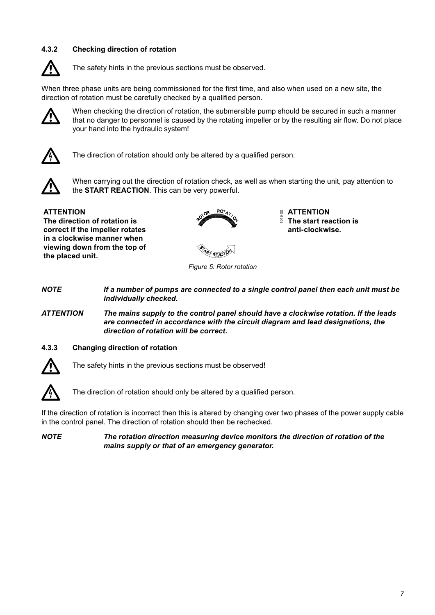### **4.3.2 Checking direction of rotation**



The safety hints in the previous sections must be observed.

When three phase units are being commissioned for the first time, and also when used on a new site, the direction of rotation must be carefully checked by a qualified person.



When checking the direction of rotation, the submersible pump should be secured in such a manner that no danger to personnel is caused by the rotating impeller or by the resulting air flow. Do not place your hand into the hydraulic system!



The direction of rotation should only be altered by a qualified person.



When carrying out the direction of rotation check, as well as when starting the unit, pay attention to the **START REACTION**. This can be very powerful.

**ATTENTION The direction of rotation is correct if the impeller rotates in a clockwise manner when viewing down from the top of the placed unit.**



1019-00 **ATTENTION The start reaction is anti-clockwise.**



*Figure 5: Rotor rotation*

*NOTE If a number of pumps are connected to a single control panel then each unit must be individually checked.*

*ATTENTION The mains supply to the control panel should have a clockwise rotation. If the leads are connected in accordance with the circuit diagram and lead designations, the direction of rotation will be correct.*

#### **4.3.3 Changing direction of rotation**



The safety hints in the previous sections must be observed!



The direction of rotation should only be altered by a qualified person.

If the direction of rotation is incorrect then this is altered by changing over two phases of the power supply cable in the control panel. The direction of rotation should then be rechecked.

*NOTE The rotation direction measuring device monitors the direction of rotation of the mains supply or that of an emergency generator.*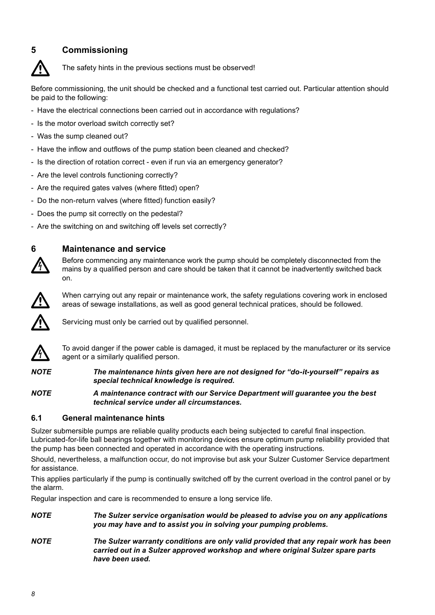# **5 Commissioning**



The safety hints in the previous sections must be observed!

Before commissioning, the unit should be checked and a functional test carried out. Particular attention should be paid to the following:

- Have the electrical connections been carried out in accordance with regulations?
- Is the motor overload switch correctly set?
- Was the sump cleaned out?
- Have the inflow and outflows of the pump station been cleaned and checked?
- Is the direction of rotation correct even if run via an emergency generator?
- Are the level controls functioning correctly?
- Are the required gates valves (where fitted) open?
- Do the non-return valves (where fitted) function easily?
- Does the pump sit correctly on the pedestal?
- Are the switching on and switching off levels set correctly?



### **6 Maintenance and service**

Before commencing any maintenance work the pump should be completely disconnected from the mains by a qualified person and care should be taken that it cannot be inadvertently switched back on.



When carrying out any repair or maintenance work, the safety regulations covering work in enclosed areas of sewage installations, as well as good general technical pratices, should be followed.



Servicing must only be carried out by qualified personnel.



To avoid danger if the power cable is damaged, it must be replaced by the manufacturer or its service agent or a similarly qualified person.

*NOTE The maintenance hints given here are not designed for "do-it-yourself" repairs as special technical knowledge is required.*

*NOTE A maintenance contract with our Service Department will guarantee you the best technical service under all circumstances.*

#### **6.1 General maintenance hints**

Sulzer submersible pumps are reliable quality products each being subjected to careful final inspection. Lubricated-for-life ball bearings together with monitoring devices ensure optimum pump reliability provided that the pump has been connected and operated in accordance with the operating instructions.

Should, nevertheless, a malfunction occur, do not improvise but ask your Sulzer Customer Service department for assistance.

This applies particularly if the pump is continually switched off by the current overload in the control panel or by the alarm.

Regular inspection and care is recommended to ensure a long service life.

- *NOTE The Sulzer service organisation would be pleased to advise you on any applications you may have and to assist you in solving your pumping problems.*
- *NOTE The Sulzer warranty conditions are only valid provided that any repair work has been carried out in a Sulzer approved workshop and where original Sulzer spare parts have been used.*